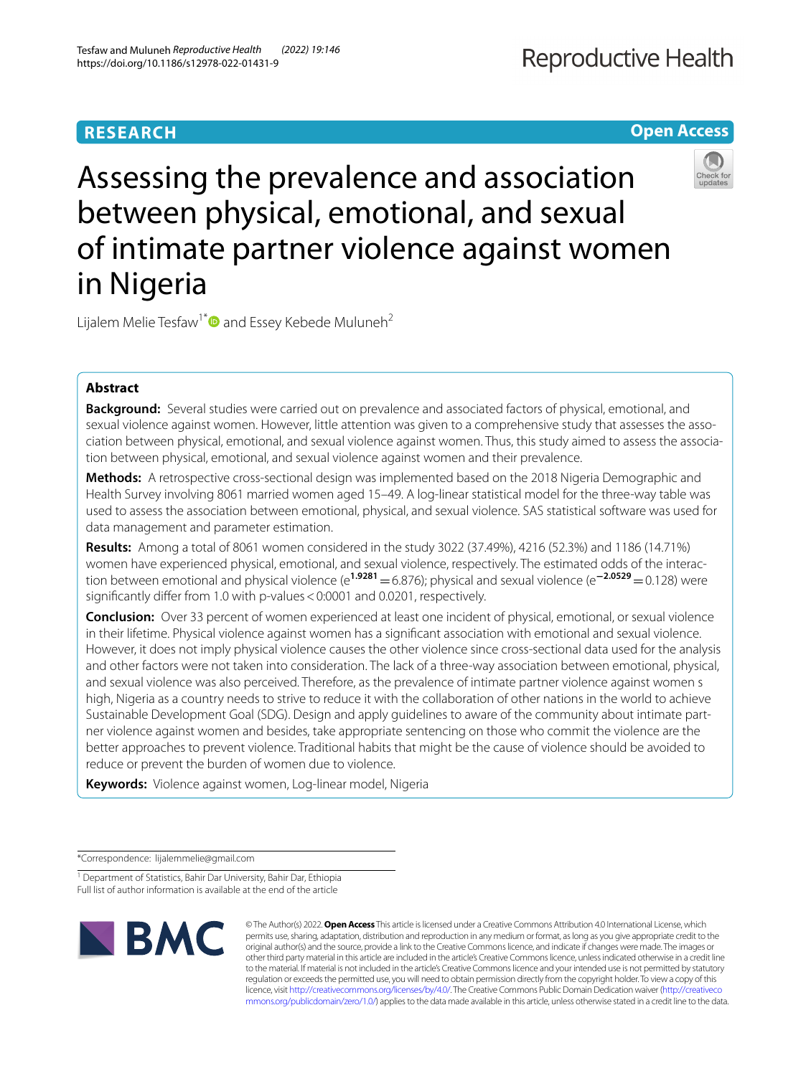**Open Access**

# Assessing the prevalence and association between physical, emotional, and sexual of intimate partner violence against women in Nigeria

Lijalem Melie Tesfaw<sup>1\*</sup> and Essey Kebede Muluneh<sup>2</sup>

## **Abstract**

**Background:** Several studies were carried out on prevalence and associated factors of physical, emotional, and sexual violence against women. However, little attention was given to a comprehensive study that assesses the association between physical, emotional, and sexual violence against women. Thus, this study aimed to assess the association between physical, emotional, and sexual violence against women and their prevalence.

**Methods:** A retrospective cross-sectional design was implemented based on the 2018 Nigeria Demographic and Health Survey involving 8061 married women aged 15–49. A log-linear statistical model for the three-way table was used to assess the association between emotional, physical, and sexual violence. SAS statistical software was used for data management and parameter estimation.

**Results:** Among a total of 8061 women considered in the study 3022 (37.49%), 4216 (52.3%) and 1186 (14.71%) women have experienced physical, emotional, and sexual violence, respectively. The estimated odds of the interaction between emotional and physical violence (e**1.9281**=6.876); physical and sexual violence (e**−2.0529**=0.128) were significantly differ from 1.0 with p-values < 0:0001 and 0.0201, respectively.

**Conclusion:** Over 33 percent of women experienced at least one incident of physical, emotional, or sexual violence in their lifetime. Physical violence against women has a signifcant association with emotional and sexual violence. However, it does not imply physical violence causes the other violence since cross-sectional data used for the analysis and other factors were not taken into consideration. The lack of a three-way association between emotional, physical, and sexual violence was also perceived. Therefore, as the prevalence of intimate partner violence against women s high, Nigeria as a country needs to strive to reduce it with the collaboration of other nations in the world to achieve Sustainable Development Goal (SDG). Design and apply guidelines to aware of the community about intimate partner violence against women and besides, take appropriate sentencing on those who commit the violence are the better approaches to prevent violence. Traditional habits that might be the cause of violence should be avoided to reduce or prevent the burden of women due to violence.

**Keywords:** Violence against women, Log-linear model, Nigeria

\*Correspondence: lijalemmelie@gmail.com

<sup>&</sup>lt;sup>1</sup> Department of Statistics, Bahir Dar University, Bahir Dar, Ethiopia Full list of author information is available at the end of the article



© The Author(s) 2022. **Open Access** This article is licensed under a Creative Commons Attribution 4.0 International License, which permits use, sharing, adaptation, distribution and reproduction in any medium or format, as long as you give appropriate credit to the original author(s) and the source, provide a link to the Creative Commons licence, and indicate if changes were made. The images or other third party material in this article are included in the article's Creative Commons licence, unless indicated otherwise in a credit line to the material. If material is not included in the article's Creative Commons licence and your intended use is not permitted by statutory regulation or exceeds the permitted use, you will need to obtain permission directly from the copyright holder. To view a copy of this licence, visit [http://creativecommons.org/licenses/by/4.0/.](http://creativecommons.org/licenses/by/4.0/) The Creative Commons Public Domain Dedication waiver ([http://creativeco](http://creativecommons.org/publicdomain/zero/1.0/) [mmons.org/publicdomain/zero/1.0/](http://creativecommons.org/publicdomain/zero/1.0/)) applies to the data made available in this article, unless otherwise stated in a credit line to the data.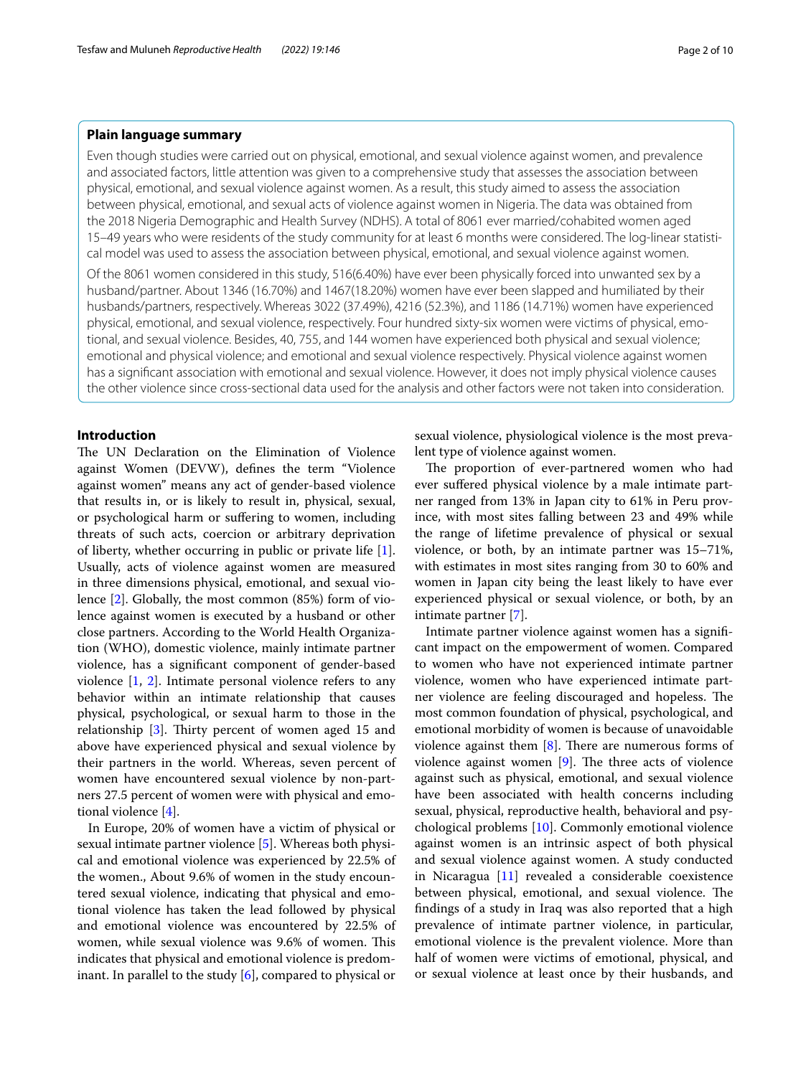## **Plain language summary**

Even though studies were carried out on physical, emotional, and sexual violence against women, and prevalence and associated factors, little attention was given to a comprehensive study that assesses the association between physical, emotional, and sexual violence against women. As a result, this study aimed to assess the association between physical, emotional, and sexual acts of violence against women in Nigeria. The data was obtained from the 2018 Nigeria Demographic and Health Survey (NDHS). A total of 8061 ever married/cohabited women aged 15–49 years who were residents of the study community for at least 6 months were considered. The log-linear statistical model was used to assess the association between physical, emotional, and sexual violence against women.

Of the 8061 women considered in this study, 516(6.40%) have ever been physically forced into unwanted sex by a husband/partner. About 1346 (16.70%) and 1467(18.20%) women have ever been slapped and humiliated by their husbands/partners, respectively. Whereas 3022 (37.49%), 4216 (52.3%), and 1186 (14.71%) women have experienced physical, emotional, and sexual violence, respectively. Four hundred sixty-six women were victims of physical, emotional, and sexual violence. Besides, 40, 755, and 144 women have experienced both physical and sexual violence; emotional and physical violence; and emotional and sexual violence respectively. Physical violence against women has a signifcant association with emotional and sexual violence. However, it does not imply physical violence causes the other violence since cross-sectional data used for the analysis and other factors were not taken into consideration.

## **Introduction**

The UN Declaration on the Elimination of Violence against Women (DEVW), defnes the term "Violence against women" means any act of gender-based violence that results in, or is likely to result in, physical, sexual, or psychological harm or sufering to women, including threats of such acts, coercion or arbitrary deprivation of liberty, whether occurring in public or private life [\[1](#page-8-0)]. Usually, acts of violence against women are measured in three dimensions physical, emotional, and sexual violence [\[2\]](#page-8-1). Globally, the most common (85%) form of violence against women is executed by a husband or other close partners. According to the World Health Organization (WHO), domestic violence, mainly intimate partner violence, has a signifcant component of gender-based violence [\[1](#page-8-0), [2](#page-8-1)]. Intimate personal violence refers to any behavior within an intimate relationship that causes physical, psychological, or sexual harm to those in the relationship  $[3]$  $[3]$ . Thirty percent of women aged 15 and above have experienced physical and sexual violence by their partners in the world. Whereas, seven percent of women have encountered sexual violence by non-partners 27.5 percent of women were with physical and emotional violence [[4\]](#page-8-3).

In Europe, 20% of women have a victim of physical or sexual intimate partner violence [[5\]](#page-8-4). Whereas both physical and emotional violence was experienced by 22.5% of the women., About 9.6% of women in the study encountered sexual violence, indicating that physical and emotional violence has taken the lead followed by physical and emotional violence was encountered by 22.5% of women, while sexual violence was 9.6% of women. This indicates that physical and emotional violence is predominant. In parallel to the study  $[6]$  $[6]$ , compared to physical or

sexual violence, physiological violence is the most prevalent type of violence against women.

The proportion of ever-partnered women who had ever sufered physical violence by a male intimate partner ranged from 13% in Japan city to 61% in Peru province, with most sites falling between 23 and 49% while the range of lifetime prevalence of physical or sexual violence, or both, by an intimate partner was 15–71%, with estimates in most sites ranging from 30 to 60% and women in Japan city being the least likely to have ever experienced physical or sexual violence, or both, by an intimate partner [\[7](#page-8-6)].

Intimate partner violence against women has a signifcant impact on the empowerment of women. Compared to women who have not experienced intimate partner violence, women who have experienced intimate partner violence are feeling discouraged and hopeless. The most common foundation of physical, psychological, and emotional morbidity of women is because of unavoidable violence against them  $[8]$  $[8]$ . There are numerous forms of violence against women  $[9]$ . The three acts of violence against such as physical, emotional, and sexual violence have been associated with health concerns including sexual, physical, reproductive health, behavioral and psychological problems [[10](#page-8-9)]. Commonly emotional violence against women is an intrinsic aspect of both physical and sexual violence against women. A study conducted in Nicaragua [\[11\]](#page-8-10) revealed a considerable coexistence between physical, emotional, and sexual violence. The fndings of a study in Iraq was also reported that a high prevalence of intimate partner violence, in particular, emotional violence is the prevalent violence. More than half of women were victims of emotional, physical, and or sexual violence at least once by their husbands, and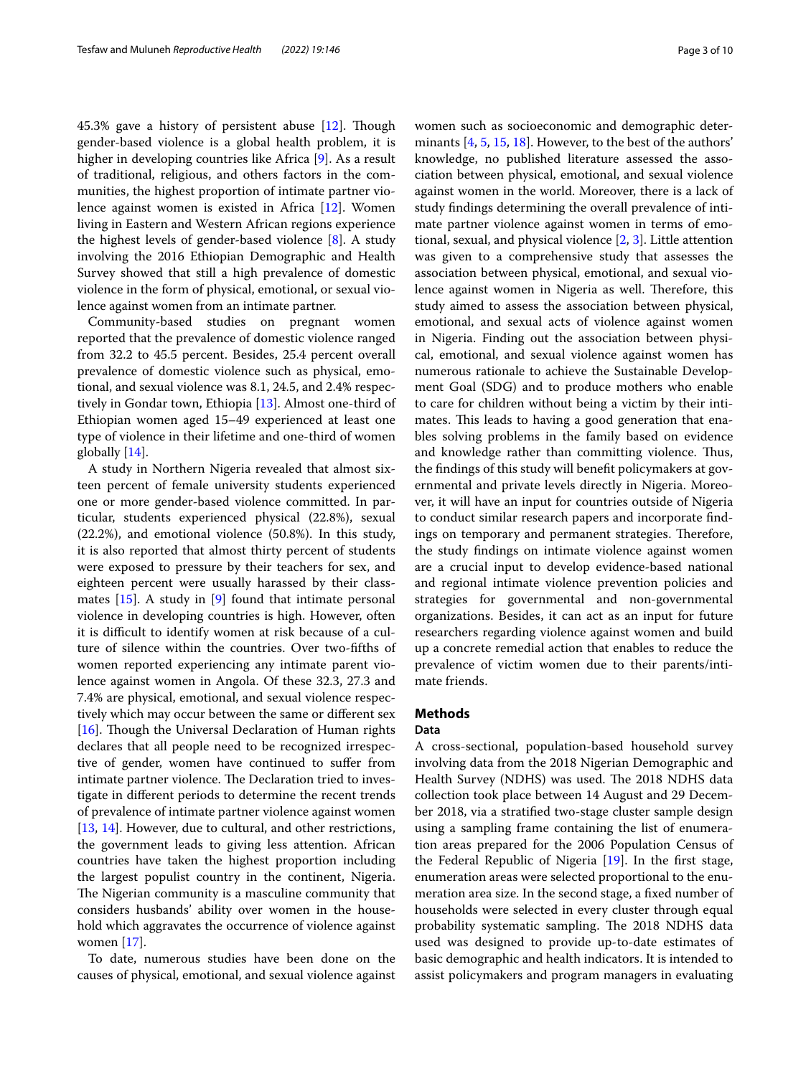45.3% gave a history of persistent abuse  $[12]$ . Though gender-based violence is a global health problem, it is higher in developing countries like Africa [[9](#page-8-8)]. As a result of traditional, religious, and others factors in the communities, the highest proportion of intimate partner violence against women is existed in Africa [\[12](#page-9-0)]. Women living in Eastern and Western African regions experience the highest levels of gender-based violence [[8\]](#page-8-7). A study involving the 2016 Ethiopian Demographic and Health Survey showed that still a high prevalence of domestic violence in the form of physical, emotional, or sexual violence against women from an intimate partner.

Community-based studies on pregnant women reported that the prevalence of domestic violence ranged from 32.2 to 45.5 percent. Besides, 25.4 percent overall prevalence of domestic violence such as physical, emotional, and sexual violence was 8.1, 24.5, and 2.4% respectively in Gondar town, Ethiopia [[13\]](#page-9-1). Almost one-third of Ethiopian women aged 15–49 experienced at least one type of violence in their lifetime and one-third of women globally [[14\]](#page-9-2).

A study in Northern Nigeria revealed that almost sixteen percent of female university students experienced one or more gender-based violence committed. In particular, students experienced physical (22.8%), sexual (22.2%), and emotional violence (50.8%). In this study, it is also reported that almost thirty percent of students were exposed to pressure by their teachers for sex, and eighteen percent were usually harassed by their classmates [[15\]](#page-9-3). A study in [\[9](#page-8-8)] found that intimate personal violence in developing countries is high. However, often it is difficult to identify women at risk because of a culture of silence within the countries. Over two-ffths of women reported experiencing any intimate parent violence against women in Angola. Of these 32.3, 27.3 and 7.4% are physical, emotional, and sexual violence respectively which may occur between the same or diferent sex [[16\]](#page-9-4). Though the Universal Declaration of Human rights declares that all people need to be recognized irrespective of gender, women have continued to sufer from intimate partner violence. The Declaration tried to investigate in diferent periods to determine the recent trends of prevalence of intimate partner violence against women [[13,](#page-9-1) [14](#page-9-2)]. However, due to cultural, and other restrictions, the government leads to giving less attention. African countries have taken the highest proportion including the largest populist country in the continent, Nigeria. The Nigerian community is a masculine community that considers husbands' ability over women in the household which aggravates the occurrence of violence against women [\[17](#page-9-5)].

To date, numerous studies have been done on the causes of physical, emotional, and sexual violence against women such as socioeconomic and demographic determinants [\[4](#page-8-3), [5,](#page-8-4) [15](#page-9-3), [18](#page-9-6)]. However, to the best of the authors' knowledge, no published literature assessed the association between physical, emotional, and sexual violence against women in the world. Moreover, there is a lack of study fndings determining the overall prevalence of intimate partner violence against women in terms of emotional, sexual, and physical violence [\[2](#page-8-1), [3\]](#page-8-2). Little attention was given to a comprehensive study that assesses the association between physical, emotional, and sexual violence against women in Nigeria as well. Therefore, this study aimed to assess the association between physical, emotional, and sexual acts of violence against women in Nigeria. Finding out the association between physical, emotional, and sexual violence against women has numerous rationale to achieve the Sustainable Development Goal (SDG) and to produce mothers who enable to care for children without being a victim by their intimates. This leads to having a good generation that enables solving problems in the family based on evidence and knowledge rather than committing violence. Thus, the fndings of this study will beneft policymakers at governmental and private levels directly in Nigeria. Moreover, it will have an input for countries outside of Nigeria to conduct similar research papers and incorporate fndings on temporary and permanent strategies. Therefore, the study fndings on intimate violence against women are a crucial input to develop evidence-based national and regional intimate violence prevention policies and strategies for governmental and non-governmental organizations. Besides, it can act as an input for future researchers regarding violence against women and build up a concrete remedial action that enables to reduce the prevalence of victim women due to their parents/intimate friends.

## **Methods**

#### **Data**

A cross-sectional, population-based household survey involving data from the 2018 Nigerian Demographic and Health Survey (NDHS) was used. The 2018 NDHS data collection took place between 14 August and 29 December 2018, via a stratifed two-stage cluster sample design using a sampling frame containing the list of enumeration areas prepared for the 2006 Population Census of the Federal Republic of Nigeria [[19\]](#page-9-7). In the frst stage, enumeration areas were selected proportional to the enumeration area size. In the second stage, a fxed number of households were selected in every cluster through equal probability systematic sampling. The 2018 NDHS data used was designed to provide up-to-date estimates of basic demographic and health indicators. It is intended to assist policymakers and program managers in evaluating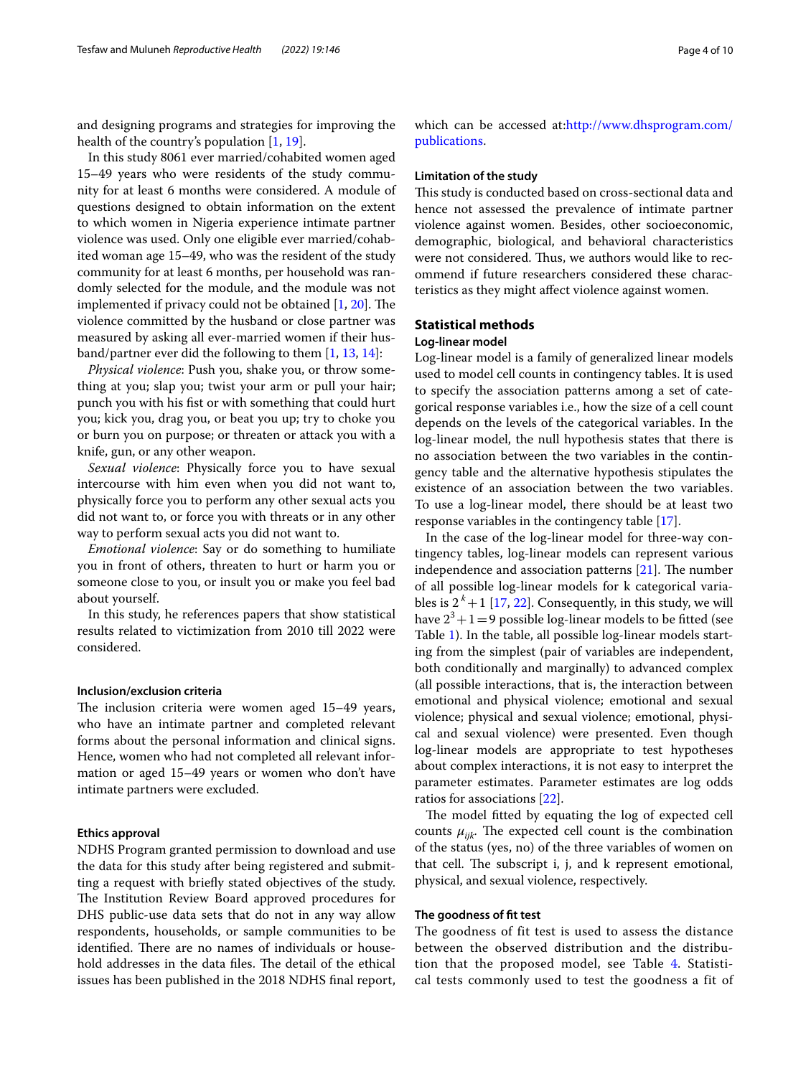and designing programs and strategies for improving the health of the country's population [\[1](#page-8-0), [19\]](#page-9-7).

In this study 8061 ever married/cohabited women aged 15–49 years who were residents of the study community for at least 6 months were considered. A module of questions designed to obtain information on the extent to which women in Nigeria experience intimate partner violence was used. Only one eligible ever married/cohabited woman age 15–49, who was the resident of the study community for at least 6 months, per household was randomly selected for the module, and the module was not implemented if privacy could not be obtained  $[1, 20]$  $[1, 20]$  $[1, 20]$  $[1, 20]$ . The violence committed by the husband or close partner was measured by asking all ever-married women if their husband/partner ever did the following to them [[1,](#page-8-0) [13](#page-9-1), [14\]](#page-9-2):

*Physical violence*: Push you, shake you, or throw something at you; slap you; twist your arm or pull your hair; punch you with his fst or with something that could hurt you; kick you, drag you, or beat you up; try to choke you or burn you on purpose; or threaten or attack you with a knife, gun, or any other weapon.

*Sexual violence*: Physically force you to have sexual intercourse with him even when you did not want to, physically force you to perform any other sexual acts you did not want to, or force you with threats or in any other way to perform sexual acts you did not want to.

*Emotional violence*: Say or do something to humiliate you in front of others, threaten to hurt or harm you or someone close to you, or insult you or make you feel bad about yourself.

In this study, he references papers that show statistical results related to victimization from 2010 till 2022 were considered.

#### **Inclusion/exclusion criteria**

The inclusion criteria were women aged 15–49 years, who have an intimate partner and completed relevant forms about the personal information and clinical signs. Hence, women who had not completed all relevant information or aged 15–49 years or women who don't have intimate partners were excluded.

## **Ethics approval**

NDHS Program granted permission to download and use the data for this study after being registered and submitting a request with briefy stated objectives of the study. The Institution Review Board approved procedures for DHS public-use data sets that do not in any way allow respondents, households, or sample communities to be identified. There are no names of individuals or household addresses in the data files. The detail of the ethical issues has been published in the 2018 NDHS fnal report, which can be accessed at:[http://www.dhsprogram.com/](http://www.dhsprogram.com/publications) [publications](http://www.dhsprogram.com/publications).

## **Limitation of the study**

This study is conducted based on cross-sectional data and hence not assessed the prevalence of intimate partner violence against women. Besides, other socioeconomic, demographic, biological, and behavioral characteristics were not considered. Thus, we authors would like to recommend if future researchers considered these characteristics as they might afect violence against women.

## **Statistical methods**

## **Log‑linear model**

Log-linear model is a family of generalized linear models used to model cell counts in contingency tables. It is used to specify the association patterns among a set of categorical response variables i.e., how the size of a cell count depends on the levels of the categorical variables. In the log-linear model, the null hypothesis states that there is no association between the two variables in the contingency table and the alternative hypothesis stipulates the existence of an association between the two variables. To use a log-linear model, there should be at least two response variables in the contingency table [\[17\]](#page-9-5).

In the case of the log-linear model for three-way contingency tables, log-linear models can represent various independence and association patterns  $[21]$ . The number of all possible log-linear models for k categorical variables is  $2^{k}+1$  [[17,](#page-9-5) [22](#page-9-10)]. Consequently, in this study, we will have  $2^3+1=9$  possible log-linear models to be fitted (see Table [1](#page-4-0)). In the table, all possible log-linear models starting from the simplest (pair of variables are independent, both conditionally and marginally) to advanced complex (all possible interactions, that is, the interaction between emotional and physical violence; emotional and sexual violence; physical and sexual violence; emotional, physical and sexual violence) were presented. Even though log-linear models are appropriate to test hypotheses about complex interactions, it is not easy to interpret the parameter estimates. Parameter estimates are log odds ratios for associations [[22\]](#page-9-10).

The model fitted by equating the log of expected cell counts  $\mu_{ijk}$ . The expected cell count is the combination of the status (yes, no) of the three variables of women on that cell. The subscript i, j, and k represent emotional, physical, and sexual violence, respectively.

### **The goodness of ft test**

The goodness of fit test is used to assess the distance between the observed distribution and the distribution that the proposed model, see Table [4.](#page-5-0) Statistical tests commonly used to test the goodness a fit of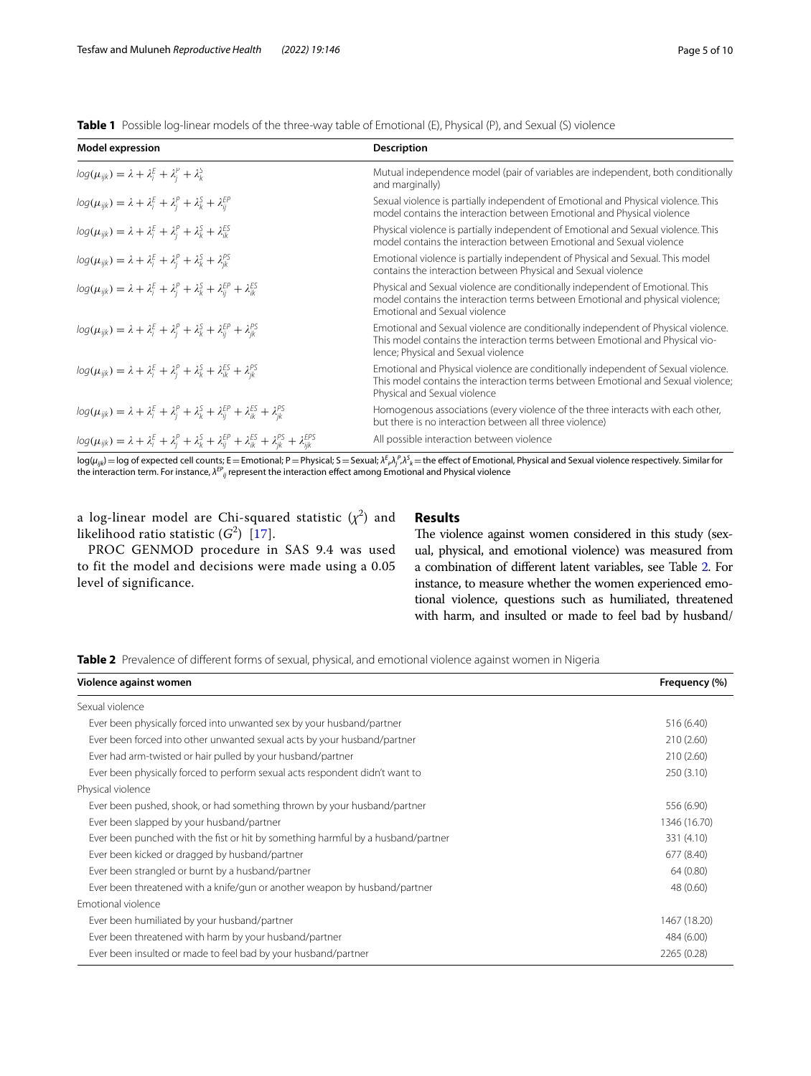<span id="page-4-0"></span>**Table 1** Possible log-linear models of the three-way table of Emotional (E), Physical (P), and Sexual (S) violence

| <b>Model expression</b>                                                                                                                                | <b>Description</b>                                                                                                                                                                                        |
|--------------------------------------------------------------------------------------------------------------------------------------------------------|-----------------------------------------------------------------------------------------------------------------------------------------------------------------------------------------------------------|
| $log(\mu_{ijk}) = \lambda + \lambda_i^E + \lambda_i^P + \lambda_k^S$                                                                                   | Mutual independence model (pair of variables are independent, both conditionally<br>and marginally)                                                                                                       |
| $log(\mu_{ijk}) = \lambda + \lambda_i^E + \lambda_i^P + \lambda_k^S + \lambda_{ii}^{EP}$                                                               | Sexual violence is partially independent of Emotional and Physical violence. This<br>model contains the interaction between Emotional and Physical violence                                               |
| $log(\mu_{ijk}) = \lambda + \lambda_i^E + \lambda_i^P + \lambda_k^S + \lambda_{ik}^{ES}$                                                               | Physical violence is partially independent of Emotional and Sexual violence. This<br>model contains the interaction between Emotional and Sexual violence                                                 |
| $log(\mu_{ijk}) = \lambda + \lambda_i^E + \lambda_j^P + \lambda_k^S + \lambda_{ik}^{PS}$                                                               | Emotional violence is partially independent of Physical and Sexual. This model<br>contains the interaction between Physical and Sexual violence                                                           |
| $log(\mu_{ijk}) = \lambda + \lambda_i^E + \lambda_i^P + \lambda_k^S + \lambda_{ii}^{EP} + \lambda_{ik}^{ES}$                                           | Physical and Sexual violence are conditionally independent of Emotional. This<br>model contains the interaction terms between Emotional and physical violence;<br>Emotional and Sexual violence           |
| $log(\mu_{ijk}) = \lambda + \lambda_i^E + \lambda_i^P + \lambda_k^S + \lambda_{ii}^{EP} + \lambda_{ik}^{PS}$                                           | Emotional and Sexual violence are conditionally independent of Physical violence.<br>This model contains the interaction terms between Emotional and Physical vio-<br>lence; Physical and Sexual violence |
| $log(\mu_{ijk}) = \lambda + \lambda_i^E + \lambda_i^P + \lambda_k^S + \lambda_{ik}^{ES} + \lambda_{ik}^{PS}$                                           | Emotional and Physical violence are conditionally independent of Sexual violence.<br>This model contains the interaction terms between Emotional and Sexual violence;<br>Physical and Sexual violence     |
| $log(\mu_{ijk}) = \lambda + \lambda_i^E + \lambda_i^P + \lambda_k^S + \lambda_{ii}^{EP} + \lambda_{ik}^{ES} + \lambda_{ik}^{PS}$                       | Homogenous associations (every violence of the three interacts with each other,<br>but there is no interaction between all three violence)                                                                |
| $log(\mu_{ijk}) = \lambda + \lambda_i^E + \lambda_i^P + \lambda_k^S + \lambda_{ii}^{EP} + \lambda_{ik}^{ES} + \lambda_{ik}^{PS} + \lambda_{iik}^{EPS}$ | All possible interaction between violence                                                                                                                                                                 |

log( $\mu_{ijk}$ ) = log of expected cell counts; E = Emotional; P = Physical; S = Sexual;  $\lambda^F_{\rho} \lambda^S_{j}$ , = the effect of Emotional, Physical and Sexual violence respectively. Similar for<br>the interaction term. For instance,

a log-linear model are Chi-squared statistic  $(\chi^2)$  and likelihood ratio statistic  $(G^2)$  [\[17\]](#page-9-5).

PROC GENMOD procedure in SAS 9.4 was used to fit the model and decisions were made using a 0.05 level of significance.

## **Results**

The violence against women considered in this study (sexual, physical, and emotional violence) was measured from a combination of diferent latent variables, see Table [2](#page-4-1). For instance, to measure whether the women experienced emotional violence, questions such as humiliated, threatened with harm, and insulted or made to feel bad by husband/

<span id="page-4-1"></span>**Table 2** Prevalence of different forms of sexual, physical, and emotional violence against women in Nigeria

| Violence against women                                                           | Frequency (%) |
|----------------------------------------------------------------------------------|---------------|
| Sexual violence                                                                  |               |
| Ever been physically forced into unwanted sex by your husband/partner            | 516 (6.40)    |
| Ever been forced into other unwanted sexual acts by your husband/partner         | 210(2.60)     |
| Ever had arm-twisted or hair pulled by your husband/partner                      | 210(2.60)     |
| Ever been physically forced to perform sexual acts respondent didn't want to     | 250(3.10)     |
| Physical violence                                                                |               |
| Ever been pushed, shook, or had something thrown by your husband/partner         | 556 (6.90)    |
| Ever been slapped by your husband/partner                                        | 1346 (16.70)  |
| Ever been punched with the fist or hit by something harmful by a husband/partner | 331 (4.10)    |
| Ever been kicked or dragged by husband/partner                                   | 677 (8.40)    |
| Ever been strangled or burnt by a husband/partner                                | 64 (0.80)     |
| Ever been threatened with a knife/gun or another weapon by husband/partner       | 48 (0.60)     |
| Emotional violence                                                               |               |
| Ever been humiliated by your husband/partner                                     | 1467 (18.20)  |
| Ever been threatened with harm by your husband/partner                           | 484 (6.00)    |
| Ever been insulted or made to feel bad by your husband/partner                   | 2265 (0.28)   |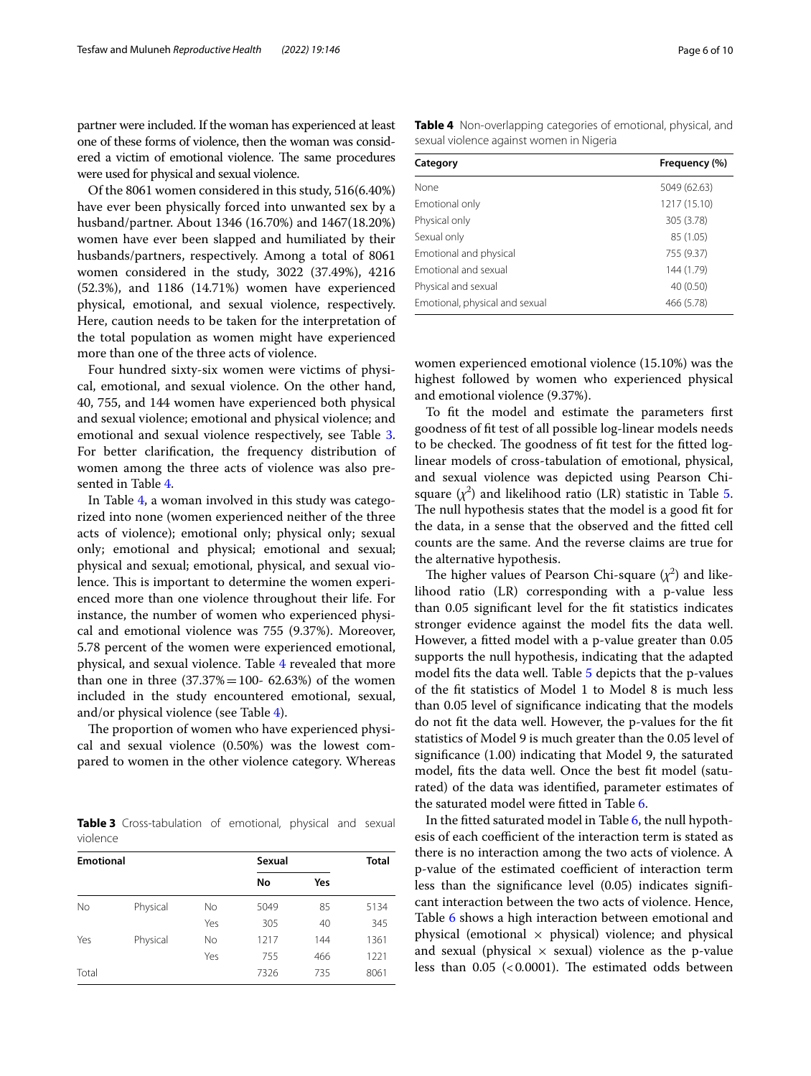partner were included. If the woman has experienced at least one of these forms of violence, then the woman was considered a victim of emotional violence. The same procedures were used for physical and sexual violence.

Of the 8061 women considered in this study, 516(6.40%) have ever been physically forced into unwanted sex by a husband/partner. About 1346 (16.70%) and 1467(18.20%) women have ever been slapped and humiliated by their husbands/partners, respectively. Among a total of 8061 women considered in the study, 3022 (37.49%), 4216 (52.3%), and 1186 (14.71%) women have experienced physical, emotional, and sexual violence, respectively. Here, caution needs to be taken for the interpretation of the total population as women might have experienced more than one of the three acts of violence.

Four hundred sixty-six women were victims of physical, emotional, and sexual violence. On the other hand, 40, 755, and 144 women have experienced both physical and sexual violence; emotional and physical violence; and emotional and sexual violence respectively, see Table [3](#page-5-1). For better clarifcation, the frequency distribution of women among the three acts of violence was also presented in Table [4.](#page-5-0)

In Table [4](#page-5-0), a woman involved in this study was categorized into none (women experienced neither of the three acts of violence); emotional only; physical only; sexual only; emotional and physical; emotional and sexual; physical and sexual; emotional, physical, and sexual violence. This is important to determine the women experienced more than one violence throughout their life. For instance, the number of women who experienced physical and emotional violence was 755 (9.37%). Moreover, 5.78 percent of the women were experienced emotional, physical, and sexual violence. Table [4](#page-5-0) revealed that more than one in three  $(37.37\% = 100 - 62.63\%)$  of the women included in the study encountered emotional, sexual, and/or physical violence (see Table [4\)](#page-5-0).

The proportion of women who have experienced physical and sexual violence (0.50%) was the lowest compared to women in the other violence category. Whereas

<span id="page-5-1"></span>**Table 3** Cross-tabulation of emotional, physical and sexual violence

| <b>Emotional</b> |          |           | Sexual |     | <b>Total</b> |
|------------------|----------|-----------|--------|-----|--------------|
|                  |          |           | No     | Yes |              |
| No               | Physical | <b>No</b> | 5049   | 85  | 5134         |
|                  |          | Yes       | 305    | 40  | 345          |
| Yes              | Physical | No        | 1217   | 144 | 1361         |
|                  |          | Yes       | 755    | 466 | 1221         |
| Total            |          |           | 7326   | 735 | 8061         |

<span id="page-5-0"></span>**Table 4** Non-overlapping categories of emotional, physical, and sexual violence against women in Nigeria

| Category                       | Frequency (%) |  |  |
|--------------------------------|---------------|--|--|
| None                           | 5049 (62.63)  |  |  |
| Emotional only                 | 1217 (15.10)  |  |  |
| Physical only                  | 305 (3.78)    |  |  |
| Sexual only                    | 85 (1.05)     |  |  |
| Emotional and physical         | 755 (9.37)    |  |  |
| <b>Emotional and sexual</b>    | 144 (1.79)    |  |  |
| Physical and sexual            | 40 (0.50)     |  |  |
| Emotional, physical and sexual | 466 (5.78)    |  |  |

women experienced emotional violence (15.10%) was the highest followed by women who experienced physical and emotional violence (9.37%).

To ft the model and estimate the parameters frst goodness of ft test of all possible log-linear models needs to be checked. The goodness of fit test for the fitted loglinear models of cross-tabulation of emotional, physical, and sexual violence was depicted using Pearson Chisquare  $(\chi^2)$  and likelihood ratio (LR) statistic in Table [5](#page-6-0). The null hypothesis states that the model is a good fit for the data, in a sense that the observed and the ftted cell counts are the same. And the reverse claims are true for the alternative hypothesis.

The higher values of Pearson Chi-square  $(\chi^2)$  and likelihood ratio (LR) corresponding with a p-value less than 0.05 signifcant level for the ft statistics indicates stronger evidence against the model fts the data well. However, a ftted model with a p-value greater than 0.05 supports the null hypothesis, indicating that the adapted model fts the data well. Table [5](#page-6-0) depicts that the p-values of the ft statistics of Model 1 to Model 8 is much less than 0.05 level of signifcance indicating that the models do not ft the data well. However, the p-values for the ft statistics of Model 9 is much greater than the 0.05 level of signifcance (1.00) indicating that Model 9, the saturated model, fts the data well. Once the best ft model (saturated) of the data was identifed, parameter estimates of the saturated model were ftted in Table [6.](#page-6-1)

In the ftted saturated model in Table [6,](#page-6-1) the null hypothesis of each coefficient of the interaction term is stated as there is no interaction among the two acts of violence. A p-value of the estimated coefficient of interaction term less than the signifcance level (0.05) indicates signifcant interaction between the two acts of violence. Hence, Table [6](#page-6-1) shows a high interaction between emotional and physical (emotional  $\times$  physical) violence; and physical and sexual (physical  $\times$  sexual) violence as the p-value less than 0.05 (<0.0001). The estimated odds between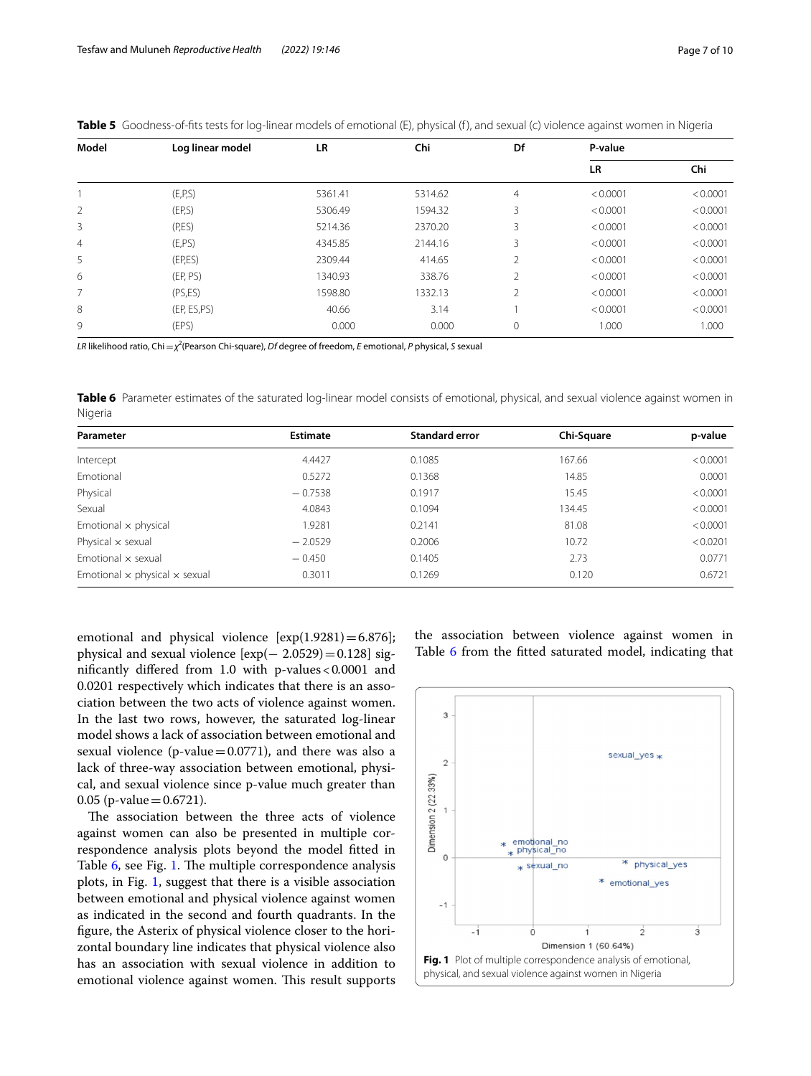| Model          | Log linear model | LR      | Chi     | Df             | P-value   |          |
|----------------|------------------|---------|---------|----------------|-----------|----------|
|                |                  |         |         |                | <b>LR</b> | Chi      |
|                | (E, P, S)        | 5361.41 | 5314.62 | 4              | < 0.0001  | < 0.0001 |
| $\overline{2}$ | (EP,S)           | 5306.49 | 1594.32 | 3              | < 0.0001  | < 0.0001 |
| 3              | (P,ES)           | 5214.36 | 2370.20 | 3              | < 0.0001  | < 0.0001 |
| $\overline{4}$ | (E, PS)          | 4345.85 | 2144.16 | 3              | < 0.0001  | < 0.0001 |
| 5              | (EP, ES)         | 2309.44 | 414.65  | $\overline{2}$ | < 0.0001  | < 0.0001 |
| 6              | (EP, PS)         | 1340.93 | 338.76  | $\overline{2}$ | < 0.0001  | < 0.0001 |
| 7              | (PS, ES)         | 1598.80 | 1332.13 | $\overline{2}$ | < 0.0001  | < 0.0001 |
| 8              | (EP, ES,PS)      | 40.66   | 3.14    |                | < 0.0001  | < 0.0001 |
| 9              | (EPS)            | 0.000   | 0.000   | 0              | 1.000     | 1.000    |

<span id="page-6-0"></span>Table 5 Goodness-of-fits tests for log-linear models of emotional (E), physical (f), and sexual (c) violence against women in Nigeria

*LR* likelihood ratio, Chi=*χ*<sup>2</sup> (Pearson Chi-square), *Df* degree of freedom, *E* emotional, *P* physical, *S* sexual

<span id="page-6-1"></span>**Table 6** Parameter estimates of the saturated log-linear model consists of emotional, physical, and sexual violence against women in Nigeria

| Parameter                                   | <b>Estimate</b> | <b>Standard error</b> | Chi-Square | p-value  |
|---------------------------------------------|-----------------|-----------------------|------------|----------|
| Intercept                                   | 4.4427          | 0.1085                | 167.66     | < 0.0001 |
| Emotional                                   | 0.5272          | 0.1368                | 14.85      | 0.0001   |
| Physical                                    | $-0.7538$       | 0.1917                | 15.45      | < 0.0001 |
| Sexual                                      | 4.0843          | 0.1094                | 134.45     | < 0.0001 |
| Emotional $\times$ physical                 | 1.9281          | 0.2141                | 81.08      | < 0.0001 |
| Physical $\times$ sexual                    | $-2.0529$       | 0.2006                | 10.72      | < 0.0201 |
| Emotional $\times$ sexual                   | $-0.450$        | 0.1405                | 2.73       | 0.0771   |
| Emotional $\times$ physical $\times$ sexual | 0.3011          | 0.1269                | 0.120      | 0.6721   |

emotional and physical violence  $[exp(1.9281) = 6.876]$ ; physical and sexual violence  $[exp(- 2.0529) = 0.128]$  signifcantly difered from 1.0 with p-values<0*.*0001 and 0.0201 respectively which indicates that there is an association between the two acts of violence against women. In the last two rows, however, the saturated log-linear model shows a lack of association between emotional and sexual violence (p-value=0.0771), and there was also a lack of three-way association between emotional, physical, and sexual violence since p-value much greater than 0.05 (p-value =  $0.6721$ ).

The association between the three acts of violence against women can also be presented in multiple correspondence analysis plots beyond the model ftted in Table [6,](#page-6-1) see Fig. [1](#page-6-2). The multiple correspondence analysis plots, in Fig. [1,](#page-6-2) suggest that there is a visible association between emotional and physical violence against women as indicated in the second and fourth quadrants. In the fgure, the Asterix of physical violence closer to the horizontal boundary line indicates that physical violence also has an association with sexual violence in addition to emotional violence against women. This result supports the association between violence against women in Table [6](#page-6-1) from the fitted saturated model, indicating that

<span id="page-6-2"></span>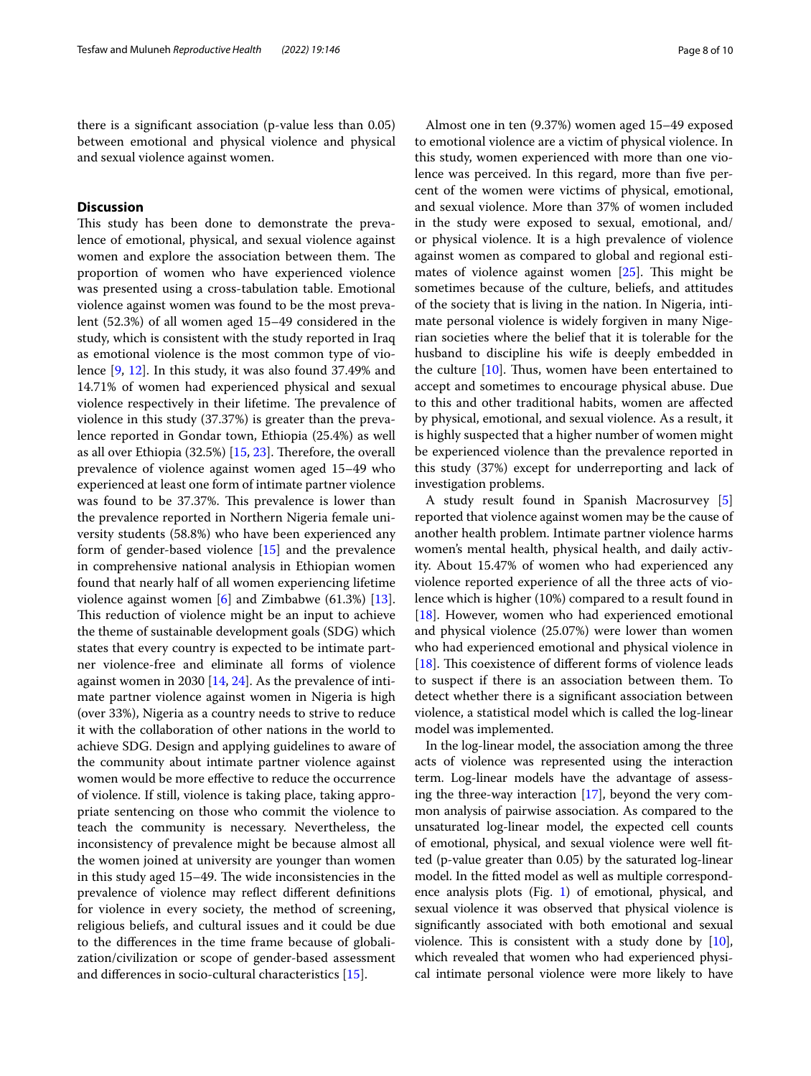there is a signifcant association (p-value less than 0.05) between emotional and physical violence and physical and sexual violence against women.

## **Discussion**

This study has been done to demonstrate the prevalence of emotional, physical, and sexual violence against women and explore the association between them. The proportion of women who have experienced violence was presented using a cross-tabulation table. Emotional violence against women was found to be the most prevalent (52.3%) of all women aged 15–49 considered in the study, which is consistent with the study reported in Iraq as emotional violence is the most common type of violence [\[9](#page-8-8), [12](#page-9-0)]. In this study, it was also found 37.49% and 14.71% of women had experienced physical and sexual violence respectively in their lifetime. The prevalence of violence in this study (37.37%) is greater than the prevalence reported in Gondar town, Ethiopia (25.4%) as well as all over Ethiopia  $(32.5%)$  [[15](#page-9-3), [23\]](#page-9-11). Therefore, the overall prevalence of violence against women aged 15–49 who experienced at least one form of intimate partner violence was found to be 37.37%. This prevalence is lower than the prevalence reported in Northern Nigeria female university students (58.8%) who have been experienced any form of gender-based violence [\[15\]](#page-9-3) and the prevalence in comprehensive national analysis in Ethiopian women found that nearly half of all women experiencing lifetime violence against women [\[6](#page-8-5)] and Zimbabwe (61.3%) [\[13](#page-9-1)]. This reduction of violence might be an input to achieve the theme of sustainable development goals (SDG) which states that every country is expected to be intimate partner violence-free and eliminate all forms of violence against women in 2030 [[14,](#page-9-2) [24](#page-9-12)]. As the prevalence of intimate partner violence against women in Nigeria is high (over 33%), Nigeria as a country needs to strive to reduce it with the collaboration of other nations in the world to achieve SDG. Design and applying guidelines to aware of the community about intimate partner violence against women would be more efective to reduce the occurrence of violence. If still, violence is taking place, taking appropriate sentencing on those who commit the violence to teach the community is necessary. Nevertheless, the inconsistency of prevalence might be because almost all the women joined at university are younger than women in this study aged 15–49. The wide inconsistencies in the prevalence of violence may refect diferent defnitions for violence in every society, the method of screening, religious beliefs, and cultural issues and it could be due to the diferences in the time frame because of globalization/civilization or scope of gender-based assessment and diferences in socio-cultural characteristics [[15\]](#page-9-3).

Almost one in ten (9.37%) women aged 15–49 exposed to emotional violence are a victim of physical violence. In this study, women experienced with more than one violence was perceived. In this regard, more than five percent of the women were victims of physical, emotional, and sexual violence. More than 37% of women included in the study were exposed to sexual, emotional, and/ or physical violence. It is a high prevalence of violence against women as compared to global and regional estimates of violence against women  $[25]$  $[25]$ . This might be sometimes because of the culture, beliefs, and attitudes of the society that is living in the nation. In Nigeria, intimate personal violence is widely forgiven in many Nigerian societies where the belief that it is tolerable for the husband to discipline his wife is deeply embedded in the culture  $[10]$  $[10]$ . Thus, women have been entertained to accept and sometimes to encourage physical abuse. Due to this and other traditional habits, women are afected by physical, emotional, and sexual violence. As a result, it is highly suspected that a higher number of women might be experienced violence than the prevalence reported in this study (37%) except for underreporting and lack of investigation problems.

A study result found in Spanish Macrosurvey [\[5](#page-8-4)] reported that violence against women may be the cause of another health problem. Intimate partner violence harms women's mental health, physical health, and daily activity. About 15.47% of women who had experienced any violence reported experience of all the three acts of violence which is higher (10%) compared to a result found in [[18\]](#page-9-6). However, women who had experienced emotional and physical violence (25.07%) were lower than women who had experienced emotional and physical violence in [ $18$ ]. This coexistence of different forms of violence leads to suspect if there is an association between them. To detect whether there is a signifcant association between violence, a statistical model which is called the log-linear model was implemented.

In the log-linear model, the association among the three acts of violence was represented using the interaction term. Log-linear models have the advantage of assessing the three-way interaction [\[17\]](#page-9-5), beyond the very common analysis of pairwise association. As compared to the unsaturated log-linear model, the expected cell counts of emotional, physical, and sexual violence were well ftted (p-value greater than 0.05) by the saturated log-linear model. In the ftted model as well as multiple correspondence analysis plots (Fig. [1\)](#page-6-2) of emotional, physical, and sexual violence it was observed that physical violence is signifcantly associated with both emotional and sexual violence. This is consistent with a study done by  $[10]$  $[10]$  $[10]$ , which revealed that women who had experienced physical intimate personal violence were more likely to have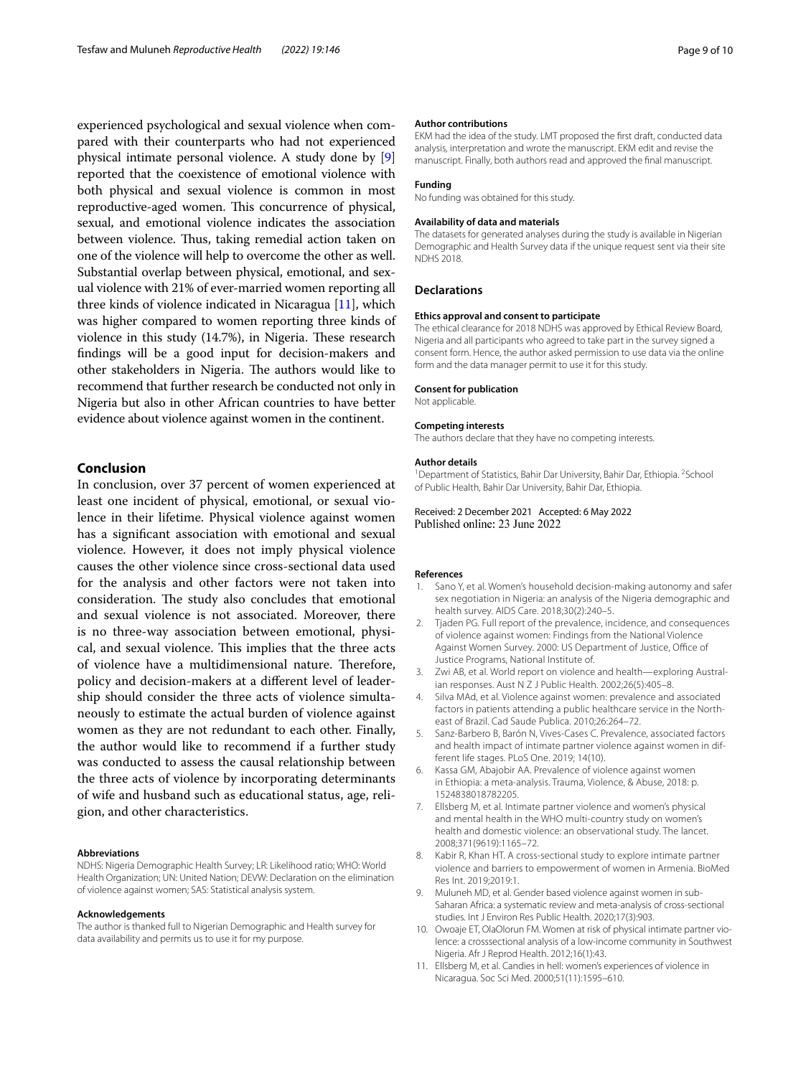experienced psychological and sexual violence when compared with their counterparts who had not experienced physical intimate personal violence. A study done by [[9](#page-8-8)] reported that the coexistence of emotional violence with both physical and sexual violence is common in most reproductive-aged women. This concurrence of physical, sexual, and emotional violence indicates the association between violence. Thus, taking remedial action taken on one of the violence will help to overcome the other as well. Substantial overlap between physical, emotional, and sexual violence with 21% of ever-married women reporting all three kinds of violence indicated in Nicaragua [[11](#page-8-10)], which was higher compared to women reporting three kinds of violence in this study  $(14.7%)$ , in Nigeria. These research fndings will be a good input for decision-makers and other stakeholders in Nigeria. The authors would like to recommend that further research be conducted not only in Nigeria but also in other African countries to have better evidence about violence against women in the continent.

## **Conclusion**

In conclusion, over 37 percent of women experienced at least one incident of physical, emotional, or sexual violence in their lifetime. Physical violence against women has a signifcant association with emotional and sexual violence. However, it does not imply physical violence causes the other violence since cross-sectional data used for the analysis and other factors were not taken into consideration. The study also concludes that emotional and sexual violence is not associated. Moreover, there is no three-way association between emotional, physical, and sexual violence. This implies that the three acts of violence have a multidimensional nature. Therefore, policy and decision-makers at a diferent level of leadership should consider the three acts of violence simultaneously to estimate the actual burden of violence against women as they are not redundant to each other. Finally, the author would like to recommend if a further study was conducted to assess the causal relationship between the three acts of violence by incorporating determinants of wife and husband such as educational status, age, religion, and other characteristics.

#### **Abbreviations**

NDHS: Nigeria Demographic Health Survey; LR: Likelihood ratio; WHO: World Health Organization; UN: United Nation; DEVW: Declaration on the elimination of violence against women; SAS: Statistical analysis system.

#### **Acknowledgements**

The author is thanked full to Nigerian Demographic and Health survey for data availability and permits us to use it for my purpose.

#### **Author contributions**

EKM had the idea of the study. LMT proposed the frst draft, conducted data analysis, interpretation and wrote the manuscript. EKM edit and revise the manuscript. Finally, both authors read and approved the fnal manuscript.

#### **Funding**

No funding was obtained for this study.

#### **Availability of data and materials**

The datasets for generated analyses during the study is available in Nigerian Demographic and Health Survey data if the unique request sent via their site NDHS 2018.

#### **Declarations**

#### **Ethics approval and consent to participate**

The ethical clearance for 2018 NDHS was approved by Ethical Review Board, Nigeria and all participants who agreed to take part in the survey signed a consent form. Hence, the author asked permission to use data via the online form and the data manager permit to use it for this study.

#### **Consent for publication**

Not applicable.

#### **Competing interests**

The authors declare that they have no competing interests.

#### **Author details**

<sup>1</sup> Department of Statistics, Bahir Dar University, Bahir Dar, Ethiopia. <sup>2</sup> School of Public Health, Bahir Dar University, Bahir Dar, Ethiopia.

Received: 2 December 2021 Accepted: 6 May 2022 Published online: 23 June 2022

#### **References**

- <span id="page-8-0"></span>1. Sano Y, et al. Women's household decision-making autonomy and safer sex negotiation in Nigeria: an analysis of the Nigeria demographic and health survey. AIDS Care. 2018;30(2):240–5.
- <span id="page-8-1"></span>2. Tjaden PG. Full report of the prevalence, incidence, and consequences of violence against women: Findings from the National Violence Against Women Survey. 2000: US Department of Justice, Office of Justice Programs, National Institute of.
- <span id="page-8-2"></span>3. Zwi AB, et al. World report on violence and health—exploring Australian responses. Aust N Z J Public Health. 2002;26(5):405–8.
- <span id="page-8-3"></span>4. Silva MAd, et al. Violence against women: prevalence and associated factors in patients attending a public healthcare service in the Northeast of Brazil. Cad Saude Publica. 2010;26:264–72.
- <span id="page-8-4"></span>5. Sanz-Barbero B, Barón N, Vives-Cases C. Prevalence, associated factors and health impact of intimate partner violence against women in different life stages. PLoS One. 2019; 14(10).
- <span id="page-8-5"></span>Kassa GM, Abajobir AA. Prevalence of violence against women in Ethiopia: a meta-analysis. Trauma, Violence, & Abuse, 2018: p. 1524838018782205.
- <span id="page-8-6"></span>7. Ellsberg M, et al. Intimate partner violence and women's physical and mental health in the WHO multi-country study on women's health and domestic violence: an observational study. The lancet. 2008;371(9619):1165–72.
- <span id="page-8-7"></span>8. Kabir R, Khan HT. A cross-sectional study to explore intimate partner violence and barriers to empowerment of women in Armenia. BioMed Res Int. 2019;2019:1.
- <span id="page-8-8"></span>9. Muluneh MD, et al. Gender based violence against women in sub-Saharan Africa: a systematic review and meta-analysis of cross-sectional studies. Int J Environ Res Public Health. 2020;17(3):903.
- <span id="page-8-9"></span>10. Owoaje ET, OlaOlorun FM. Women at risk of physical intimate partner violence: a crosssectional analysis of a low-income community in Southwest Nigeria. Afr J Reprod Health. 2012;16(1):43.
- <span id="page-8-10"></span>11. Ellsberg M, et al. Candies in hell: women's experiences of violence in Nicaragua. Soc Sci Med. 2000;51(11):1595–610.